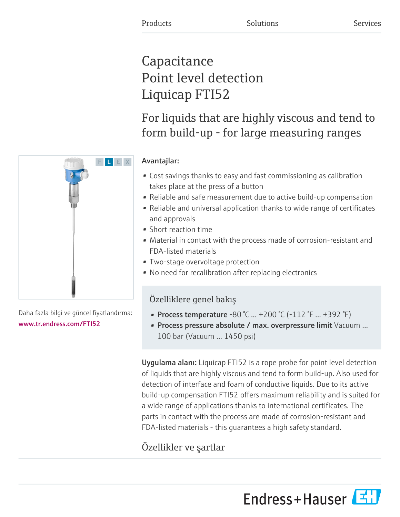# **Capacitance** Point level detection Liquicap FTI52

For liquids that are highly viscous and tend to form build-up - for large measuring ranges



- Cost savings thanks to easy and fast commissioning as calibration takes place at the press of a button
- Reliable and safe measurement due to active build-up compensation
- Reliable and universal application thanks to wide range of certificates and approvals
- Short reaction time
- Material in contact with the process made of corrosion-resistant and FDA-listed materials
- Two-stage overvoltage protection
- No need for recalibration after replacing electronics

## Özelliklere genel bakış

- Process temperature  $-80\degree$ C ...  $+200\degree$ C ( $-112\degree$ F ...  $+392\degree$ F)
- Process pressure absolute / max. overpressure limit Vacuum ... 100 bar (Vacuum ... 1450 psi)

Uygulama alanı: Liquicap FTI52 is a rope probe for point level detection of liquids that are highly viscous and tend to form build-up. Also used for detection of interface and foam of conductive liquids. Due to its active build-up compensation FTI52 offers maximum reliability and is suited for a wide range of applications thanks to international certificates. The parts in contact with the process are made of corrosion-resistant and FDA-listed materials - this guarantees a high safety standard.

# Özellikler ve şartlar





Daha fazla bilgi ve güncel fiyatlandırma: [www.tr.endress.com/FTI52](https://www.tr.endress.com/FTI52)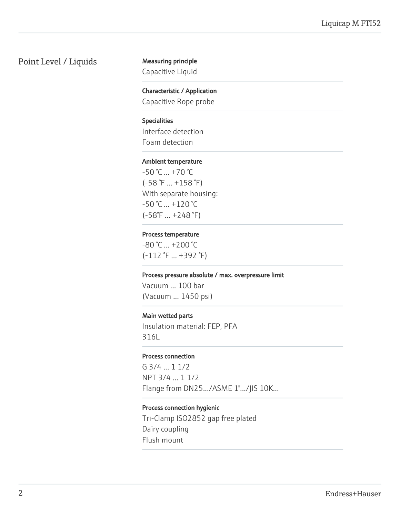#### Point Level / Liquids Measuring principle

Capacitive Liquid

Characteristic / Application Capacitive Rope probe

#### Specialities

Interface detection Foam detection

#### Ambient temperature

 $-50 °C ... +70 °C$ (-58 °F ... +158 °F) With separate housing:  $-50$  °C  $...$  +120 °C (-58°F ... +248 °F)

#### Process temperature

-80 °C ... +200 °C (-112 °F ... +392 °F)

#### Process pressure absolute / max. overpressure limit

Vacuum ... 100 bar (Vacuum ... 1450 psi)

#### Main wetted parts

Insulation material: FEP, PFA 316L

#### Process connection

G 3/4 ... 1 1/2 NPT 3/4 ... 1 1/2 Flange from DN25.../ASME 1".../JIS 10K...

#### Process connection hygienic

Tri-Clamp ISO2852 gap free plated Dairy coupling Flush mount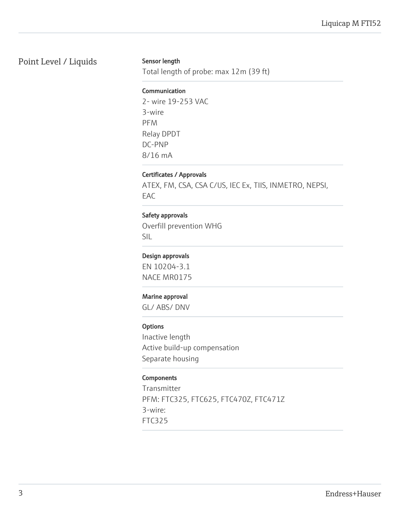### Point Level / Liquids

#### Sensor length

Total length of probe: max 12m (39 ft)

#### Communication

2- wire 19-253 VAC 3-wire PFM Relay DPDT DC-PNP 8/16 mA

#### Certificates / Approvals

ATEX, FM, CSA, CSA C/US, IEC Ex, TIIS, INMETRO, NEPSI, EAC

#### Safety approvals

Overfill prevention WHG SIL

#### Design approvals

EN 10204-3.1 NACE MR0175

#### Marine approval

GL/ ABS/ DNV

#### **Options**

Inactive length Active build-up compensation Separate housing

#### **Components**

Transmitter PFM: FTC325, FTC625, FTC470Z, FTC471Z 3-wire: FTC325